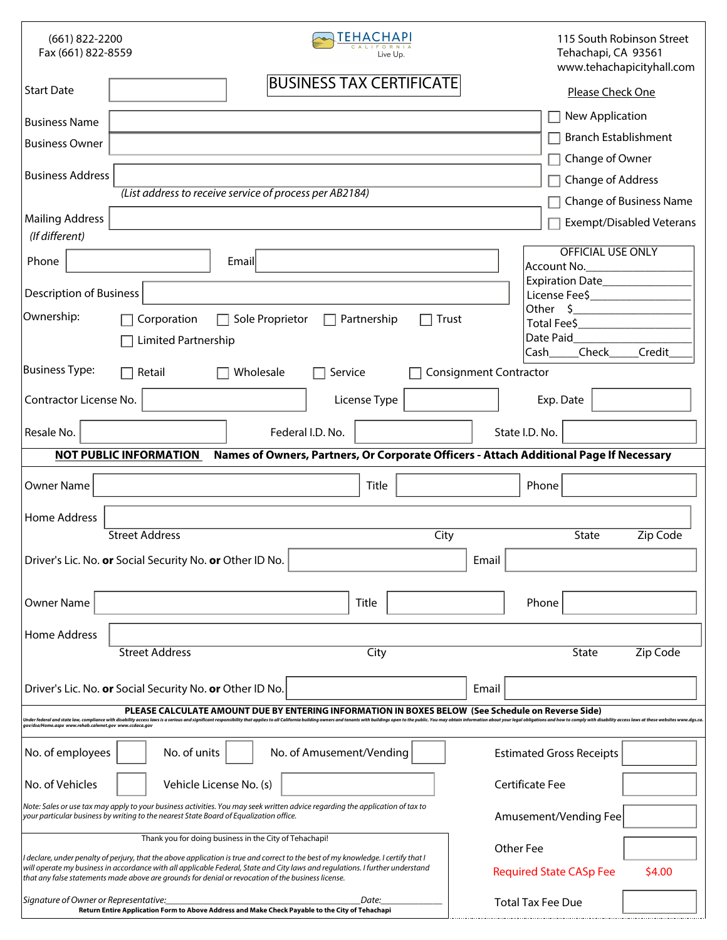| (661) 822-2200<br>Fax (661) 822-8559                                                                                                                                                                                                                                                                                                                                                          | EHACHAPI<br>Live Up.                                                                                                                                                                                                                                                                                                                                                     | 115 South Robinson Street<br>Tehachapi, CA 93561<br>www.tehachapicityhall.com |  |  |  |  |
|-----------------------------------------------------------------------------------------------------------------------------------------------------------------------------------------------------------------------------------------------------------------------------------------------------------------------------------------------------------------------------------------------|--------------------------------------------------------------------------------------------------------------------------------------------------------------------------------------------------------------------------------------------------------------------------------------------------------------------------------------------------------------------------|-------------------------------------------------------------------------------|--|--|--|--|
| <b>Start Date</b>                                                                                                                                                                                                                                                                                                                                                                             | <b>BUSINESS TAX CERTIFICATE</b>                                                                                                                                                                                                                                                                                                                                          | Please Check One                                                              |  |  |  |  |
| <b>Business Name</b>                                                                                                                                                                                                                                                                                                                                                                          |                                                                                                                                                                                                                                                                                                                                                                          | New Application                                                               |  |  |  |  |
| <b>Business Owner</b>                                                                                                                                                                                                                                                                                                                                                                         |                                                                                                                                                                                                                                                                                                                                                                          | <b>Branch Establishment</b>                                                   |  |  |  |  |
|                                                                                                                                                                                                                                                                                                                                                                                               |                                                                                                                                                                                                                                                                                                                                                                          | Change of Owner                                                               |  |  |  |  |
| <b>Business Address</b>                                                                                                                                                                                                                                                                                                                                                                       | (List address to receive service of process per AB2184)                                                                                                                                                                                                                                                                                                                  | <b>Change of Address</b>                                                      |  |  |  |  |
|                                                                                                                                                                                                                                                                                                                                                                                               | Change of Business Name                                                                                                                                                                                                                                                                                                                                                  |                                                                               |  |  |  |  |
| <b>Mailing Address</b><br>(If different)                                                                                                                                                                                                                                                                                                                                                      |                                                                                                                                                                                                                                                                                                                                                                          | <b>Exempt/Disabled Veterans</b>                                               |  |  |  |  |
| <b>OFFICIAL USE ONLY</b><br>Email<br>Phone<br>Account No.                                                                                                                                                                                                                                                                                                                                     |                                                                                                                                                                                                                                                                                                                                                                          |                                                                               |  |  |  |  |
|                                                                                                                                                                                                                                                                                                                                                                                               | Expiration Date<br><b>Description of Business</b><br>License Fee\$                                                                                                                                                                                                                                                                                                       |                                                                               |  |  |  |  |
| Ownership:                                                                                                                                                                                                                                                                                                                                                                                    | Corporation<br>Sole Proprietor<br>Partnership<br><b>Trust</b>                                                                                                                                                                                                                                                                                                            | Other $\zeta$                                                                 |  |  |  |  |
|                                                                                                                                                                                                                                                                                                                                                                                               | Limited Partnership                                                                                                                                                                                                                                                                                                                                                      | Total Fee\$<br>Date Paid                                                      |  |  |  |  |
|                                                                                                                                                                                                                                                                                                                                                                                               |                                                                                                                                                                                                                                                                                                                                                                          | Check<br>Credit<br> Cash                                                      |  |  |  |  |
| <b>Business Type:</b>                                                                                                                                                                                                                                                                                                                                                                         | Wholesale<br>Service<br><b>Consignment Contractor</b><br>Retail                                                                                                                                                                                                                                                                                                          |                                                                               |  |  |  |  |
| Contractor License No.                                                                                                                                                                                                                                                                                                                                                                        | License Type                                                                                                                                                                                                                                                                                                                                                             | Exp. Date                                                                     |  |  |  |  |
| Resale No.                                                                                                                                                                                                                                                                                                                                                                                    | Federal I.D. No.<br>State I.D. No.                                                                                                                                                                                                                                                                                                                                       |                                                                               |  |  |  |  |
| Names of Owners, Partners, Or Corporate Officers - Attach Additional Page If Necessary<br><b>NOT PUBLIC INFORMATION</b>                                                                                                                                                                                                                                                                       |                                                                                                                                                                                                                                                                                                                                                                          |                                                                               |  |  |  |  |
| <b>Owner Name</b>                                                                                                                                                                                                                                                                                                                                                                             | Title                                                                                                                                                                                                                                                                                                                                                                    | Phone                                                                         |  |  |  |  |
| Home Address                                                                                                                                                                                                                                                                                                                                                                                  | <b>Street Address</b>                                                                                                                                                                                                                                                                                                                                                    | State<br><b>Zip Code</b>                                                      |  |  |  |  |
| City                                                                                                                                                                                                                                                                                                                                                                                          |                                                                                                                                                                                                                                                                                                                                                                          |                                                                               |  |  |  |  |
| Driver's Lic. No. or Social Security No. or Other ID No.<br>Email                                                                                                                                                                                                                                                                                                                             |                                                                                                                                                                                                                                                                                                                                                                          |                                                                               |  |  |  |  |
| <b>Owner Name</b>                                                                                                                                                                                                                                                                                                                                                                             | Title                                                                                                                                                                                                                                                                                                                                                                    | Phone                                                                         |  |  |  |  |
| Home Address                                                                                                                                                                                                                                                                                                                                                                                  |                                                                                                                                                                                                                                                                                                                                                                          |                                                                               |  |  |  |  |
|                                                                                                                                                                                                                                                                                                                                                                                               | <b>Street Address</b><br>City                                                                                                                                                                                                                                                                                                                                            | Zip Code<br><b>State</b>                                                      |  |  |  |  |
| Driver's Lic. No. or Social Security No. or Other ID No.<br>Email                                                                                                                                                                                                                                                                                                                             |                                                                                                                                                                                                                                                                                                                                                                          |                                                                               |  |  |  |  |
| PLEASE CALCULATE AMOUNT DUE BY ENTERING INFORMATION IN BOXES BELOW (See Schedule on Reverse Side)<br>Inder federal and state law, compliance with disability access laws is a serious and significant responsibility that applies to all California building owners and tenants with buildings open to the public. You may obtain i<br>qov/dsa/Home.aspx www.rehab.calwnet.gov www.ccdaca.gov |                                                                                                                                                                                                                                                                                                                                                                          |                                                                               |  |  |  |  |
|                                                                                                                                                                                                                                                                                                                                                                                               |                                                                                                                                                                                                                                                                                                                                                                          |                                                                               |  |  |  |  |
| No. of employees                                                                                                                                                                                                                                                                                                                                                                              | No. of units<br>No. of Amusement/Vending                                                                                                                                                                                                                                                                                                                                 | <b>Estimated Gross Receipts</b>                                               |  |  |  |  |
| Vehicle License No. (s)<br>Certificate Fee<br>No. of Vehicles                                                                                                                                                                                                                                                                                                                                 |                                                                                                                                                                                                                                                                                                                                                                          |                                                                               |  |  |  |  |
|                                                                                                                                                                                                                                                                                                                                                                                               | Note: Sales or use tax may apply to your business activities. You may seek written advice regarding the application of tax to<br>your particular business by writing to the nearest State Board of Equalization office.                                                                                                                                                  | Amusement/Vending Fee                                                         |  |  |  |  |
| Thank you for doing business in the City of Tehachapi!<br>Other Fee                                                                                                                                                                                                                                                                                                                           |                                                                                                                                                                                                                                                                                                                                                                          |                                                                               |  |  |  |  |
|                                                                                                                                                                                                                                                                                                                                                                                               | I declare, under penalty of perjury, that the above application is true and correct to the best of my knowledge. I certify that I<br>will operate my business in accordance with all applicable Federal, State and City laws and regulations. I further understand<br>that any false statements made above are grounds for denial or revocation of the business license. | \$4.00<br><b>Required State CASp Fee</b>                                      |  |  |  |  |
| Signature of Owner or Representative:                                                                                                                                                                                                                                                                                                                                                         | Date:<br><b>Total Tax Fee Due</b><br>Return Entire Application Form to Above Address and Make Check Payable to the City of Tehachapi                                                                                                                                                                                                                                     |                                                                               |  |  |  |  |